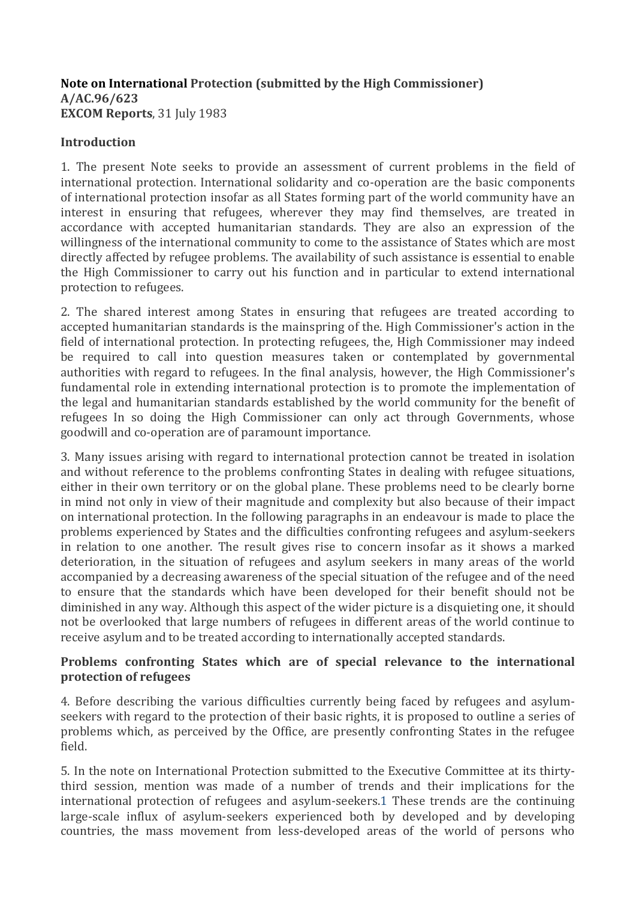#### Note on International Protection (submitted by the High Commissioner) **A/AC.96/623 EXCOM Reports**, 31 July 1983

## **Introduction**

1. The present Note seeks to provide an assessment of current problems in the field of international protection. International solidarity and co-operation are the basic components of international protection insofar as all States forming part of the world community have an interest in ensuring that refugees, wherever they may find themselves, are treated in accordance with accepted humanitarian standards. They are also an expression of the willingness of the international community to come to the assistance of States which are most directly affected by refugee problems. The availability of such assistance is essential to enable the High Commissioner to carry out his function and in particular to extend international protection to refugees.

2. The shared interest among States in ensuring that refugees are treated according to accepted humanitarian standards is the mainspring of the. High Commissioner's action in the field of international protection. In protecting refugees, the, High Commissioner may indeed be required to call into question measures taken or contemplated by governmental authorities with regard to refugees. In the final analysis, however, the High Commissioner's fundamental role in extending international protection is to promote the implementation of the legal and humanitarian standards established by the world community for the benefit of refugees In so doing the High Commissioner can only act through Governments, whose goodwill and co-operation are of paramount importance.

3. Many issues arising with regard to international protection cannot be treated in isolation and without reference to the problems confronting States in dealing with refugee situations, either in their own territory or on the global plane. These problems need to be clearly borne in mind not only in view of their magnitude and complexity but also because of their impact on international protection. In the following paragraphs in an endeavour is made to place the problems experienced by States and the difficulties confronting refugees and asylum-seekers in relation to one another. The result gives rise to concern insofar as it shows a marked deterioration, in the situation of refugees and asylum seekers in many areas of the world accompanied by a decreasing awareness of the special situation of the refugee and of the need to ensure that the standards which have been developed for their benefit should not be diminished in any way. Although this aspect of the wider picture is a disquieting one, it should not be overlooked that large numbers of refugees in different areas of the world continue to receive asylum and to be treated according to internationally accepted standards.

## Problems confronting States which are of special relevance to the international protection of refugees

4. Before describing the various difficulties currently being faced by refugees and asylumseekers with regard to the protection of their basic rights, it is proposed to outline a series of problems which, as perceived by the Office, are presently confronting States in the refugee field.

5. In the note on International Protection submitted to the Executive Committee at its thirtythird session, mention was made of a number of trends and their implications for the international protection of refugees and asylum-seekers.1 These trends are the continuing large-scale influx of asylum-seekers experienced both by developed and by developing countries, the mass movement from less-developed areas of the world of persons who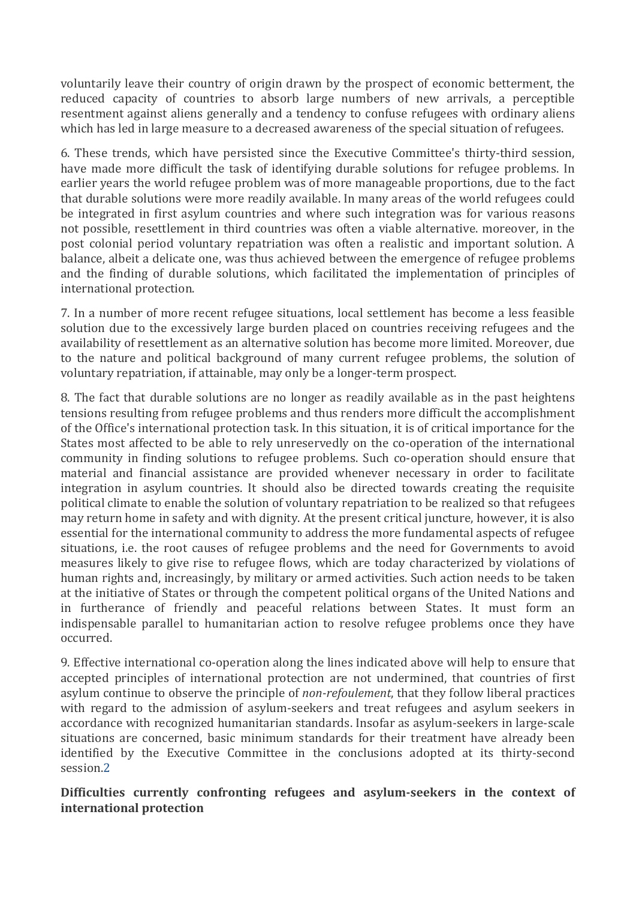voluntarily leave their country of origin drawn by the prospect of economic betterment, the reduced capacity of countries to absorb large numbers of new arrivals, a perceptible resentment against aliens generally and a tendency to confuse refugees with ordinary aliens which has led in large measure to a decreased awareness of the special situation of refugees.

6. These trends, which have persisted since the Executive Committee's thirty-third session, have made more difficult the task of identifying durable solutions for refugee problems. In earlier years the world refugee problem was of more manageable proportions, due to the fact that durable solutions were more readily available. In many areas of the world refugees could be integrated in first asylum countries and where such integration was for various reasons not possible, resettlement in third countries was often a viable alternative, moreover, in the post colonial period voluntary repatriation was often a realistic and important solution. A balance, albeit a delicate one, was thus achieved between the emergence of refugee problems and the finding of durable solutions, which facilitated the implementation of principles of international protection.

7. In a number of more recent refugee situations, local settlement has become a less feasible solution due to the excessively large burden placed on countries receiving refugees and the availability of resettlement as an alternative solution has become more limited. Moreover, due to the nature and political background of many current refugee problems, the solution of voluntary repatriation, if attainable, may only be a longer-term prospect.

8. The fact that durable solutions are no longer as readily available as in the past heightens" tensions resulting from refugee problems and thus renders more difficult the accomplishment of the Office's international protection task. In this situation, it is of critical importance for the States most affected to be able to rely unreservedly on the co-operation of the international community in finding solutions to refugee problems. Such co-operation should ensure that material and financial assistance are provided whenever necessary in order to facilitate integration in asylum countries. It should also be directed towards creating the requisite political climate to enable the solution of voluntary repatriation to be realized so that refugees may return home in safety and with dignity. At the present critical juncture, however, it is also essential for the international community to address the more fundamental aspects of refugee situations, *i.e.* the root causes of refugee problems and the need for Governments to avoid measures likely to give rise to refugee flows, which are today characterized by violations of human rights and, increasingly, by military or armed activities. Such action needs to be taken at the initiative of States or through the competent political organs of the United Nations and in furtherance of friendly and peaceful relations between States. It must form an indispensable parallel to humanitarian action to resolve refugee problems once they have occurred.

9. Effective international co-operation along the lines indicated above will help to ensure that accepted principles of international protection are not undermined, that countries of first asylum continue to observe the principle of *non-refoulement*, that they follow liberal practices with regard to the admission of asylum-seekers and treat refugees and asylum seekers in accordance with recognized humanitarian standards. Insofar as asylum-seekers in large-scale situations are concerned, basic minimum standards for their treatment have already been identified by the Executive Committee in the conclusions adopted at its thirty-second session.2

Difficulties currently confronting refugees and asylum-seekers in the context of **international protection**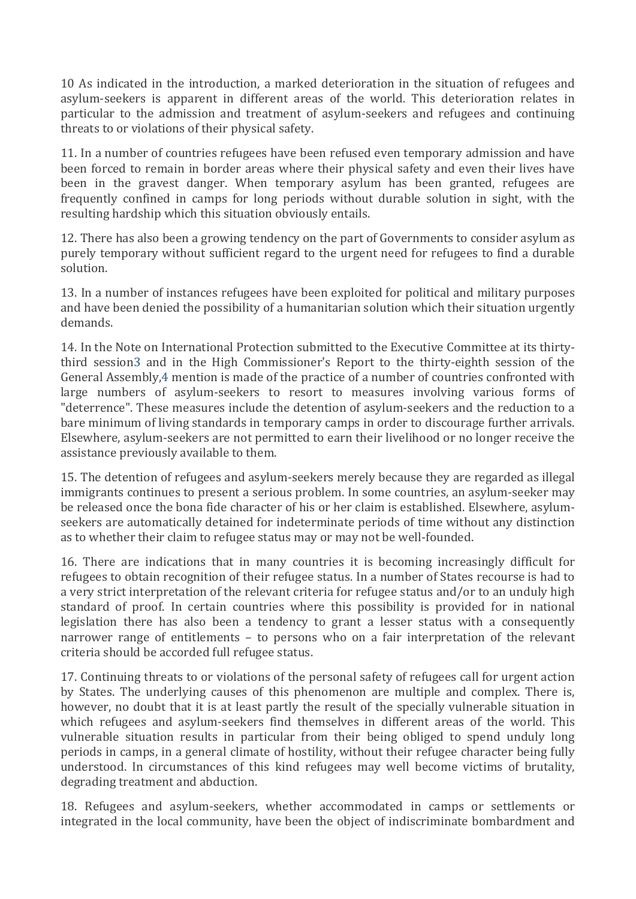10 As indicated in the introduction, a marked deterioration in the situation of refugees and asylum-seekers is apparent in different areas of the world. This deterioration relates in particular to the admission and treatment of asylum-seekers and refugees and continuing threats to or violations of their physical safety.

11. In a number of countries refugees have been refused even temporary admission and have been forced to remain in border areas where their physical safety and even their lives have been in the gravest danger. When temporary asylum has been granted, refugees are frequently confined in camps for long periods without durable solution in sight, with the resulting hardship which this situation obviously entails.

12. There has also been a growing tendency on the part of Governments to consider asylum as purely temporary without sufficient regard to the urgent need for refugees to find a durable solution.

13. In a number of instances refugees have been exploited for political and military purposes and have been denied the possibility of a humanitarian solution which their situation urgently demands.

14. In the Note on International Protection submitted to the Executive Committee at its thirtythird session3 and in the High Commissioner's Report to the thirty-eighth session of the General Assembly,4 mention is made of the practice of a number of countries confronted with large numbers of asylum-seekers to resort to measures involving various forms of "deterrence". These measures include the detention of asylum-seekers and the reduction to a bare minimum of living standards in temporary camps in order to discourage further arrivals. Elsewhere, asylum-seekers are not permitted to earn their livelihood or no longer receive the assistance previously available to them.

15. The detention of refugees and asylum-seekers merely because they are regarded as illegal immigrants continues to present a serious problem. In some countries, an asylum-seeker may be released once the bona fide character of his or her claim is established. Elsewhere, asylumseekers are automatically detained for indeterminate periods of time without any distinction as to whether their claim to refugee status may or may not be well-founded.

16. There are indications that in many countries it is becoming increasingly difficult for refugees to obtain recognition of their refugee status. In a number of States recourse is had to a very strict interpretation of the relevant criteria for refugee status and/or to an unduly high standard of proof. In certain countries where this possibility is provided for in national legislation there has also been a tendency to grant a lesser status with a consequently narrower range of entitlements – to persons who on a fair interpretation of the relevant criteria should be accorded full refugee status.

17. Continuing threats to or violations of the personal safety of refugees call for urgent action by States. The underlying causes of this phenomenon are multiple and complex. There is, however, no doubt that it is at least partly the result of the specially vulnerable situation in which refugees and asylum-seekers find themselves in different areas of the world. This vulnerable situation results in particular from their being obliged to spend unduly long periods in camps, in a general climate of hostility, without their refugee character being fully understood. In circumstances of this kind refugees may well become victims of brutality, degrading treatment and abduction.

18. Refugees and asylum-seekers, whether accommodated in camps or settlements or integrated in the local community, have been the object of indiscriminate bombardment and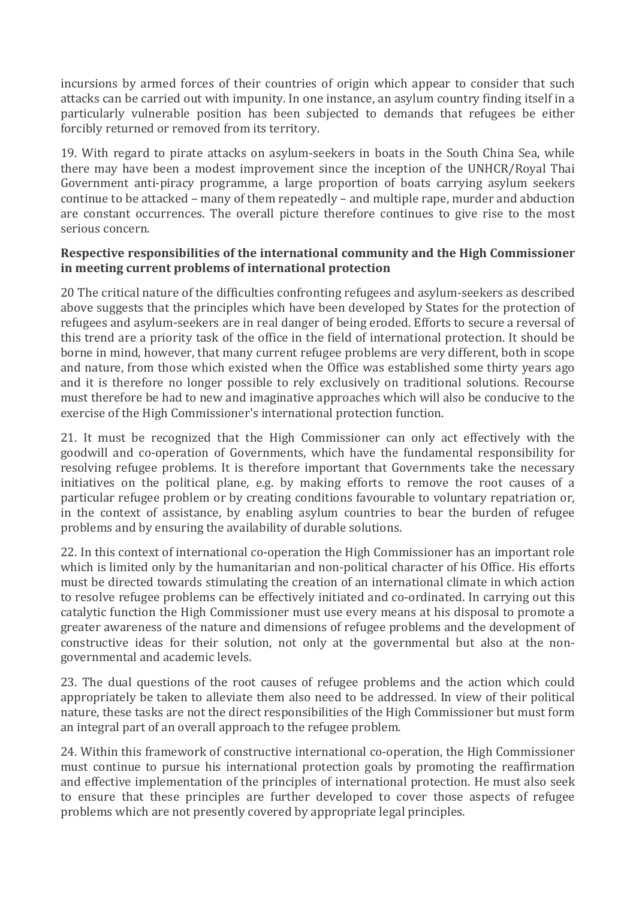incursions by armed forces of their countries of origin which appear to consider that such attacks can be carried out with impunity. In one instance, an asylum country finding itself in a particularly vulnerable position has been subjected to demands that refugees be either forcibly returned or removed from its territory.

19. With regard to pirate attacks on asylum-seekers in boats in the South China Sea, while there may have been a modest improvement since the inception of the UNHCR/Royal Thai Government anti-piracy programme, a large proportion of boats carrying asylum seekers continue to be attacked – many of them repeatedly – and multiple rape, murder and abduction are constant occurrences. The overall picture therefore continues to give rise to the most serious concern.

#### **Respective responsibilities of the international community and the High Commissioner** in meeting current problems of international protection

20 The critical nature of the difficulties confronting refugees and asylum-seekers as described above suggests that the principles which have been developed by States for the protection of refugees and asylum-seekers are in real danger of being eroded. Efforts to secure a reversal of this trend are a priority task of the office in the field of international protection. It should be borne in mind, however, that many current refugee problems are very different, both in scope and nature, from those which existed when the Office was established some thirty years ago and it is therefore no longer possible to rely exclusively on traditional solutions. Recourse must therefore be had to new and imaginative approaches which will also be conducive to the exercise of the High Commissioner's international protection function.

21. It must be recognized that the High Commissioner can only act effectively with the goodwill and co-operation of Governments, which have the fundamental responsibility for resolving refugee problems. It is therefore important that Governments take the necessary initiatives on the political plane, e.g. by making efforts to remove the root causes of a particular refugee problem or by creating conditions favourable to voluntary repatriation or, in the context of assistance, by enabling asylum countries to bear the burden of refugee problems and by ensuring the availability of durable solutions.

22. In this context of international co-operation the High Commissioner has an important role which is limited only by the humanitarian and non-political character of his Office. His efforts must be directed towards stimulating the creation of an international climate in which action to resolve refugee problems can be effectively initiated and co-ordinated. In carrying out this catalytic function the High Commissioner must use every means at his disposal to promote a greater awareness of the nature and dimensions of refugee problems and the development of constructive ideas for their solution, not only at the governmental but also at the nongovernmental and academic levels.

23. The dual questions of the root causes of refugee problems and the action which could appropriately be taken to alleviate them also need to be addressed. In view of their political nature, these tasks are not the direct responsibilities of the High Commissioner but must form an integral part of an overall approach to the refugee problem.

24. Within this framework of constructive international co-operation, the High Commissioner" must continue to pursue his international protection goals by promoting the reaffirmation and effective implementation of the principles of international protection. He must also seek to ensure that these principles are further developed to cover those aspects of refugee problems which are not presently covered by appropriate legal principles.